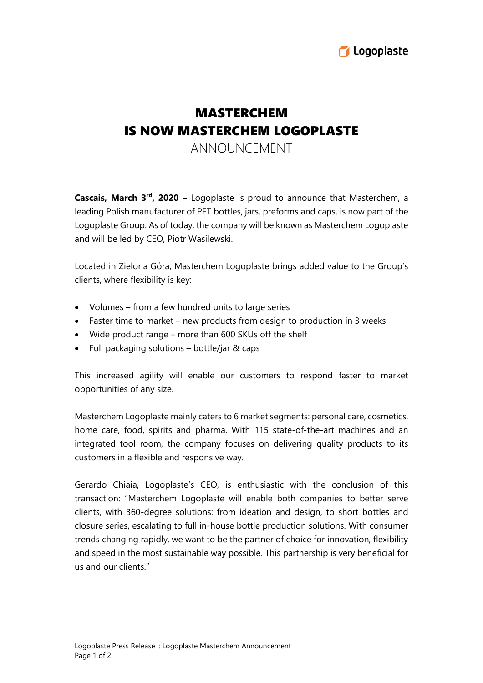

## MASTERCHEM IS NOW MASTERCHEM LOGOPLASTE

ANNOUNCEMENT

**Cascais, March 3<sup>rd</sup>, 2020** – Logoplaste is proud to announce that Masterchem, a leading Polish manufacturer of PET bottles, jars, preforms and caps, is now part of the Logoplaste Group. As of today, the company will be known as Masterchem Logoplaste and will be led by CEO, Piotr Wasilewski.

Located in Zielona Góra, Masterchem Logoplaste brings added value to the Group's clients, where flexibility is key:

- Volumes from a few hundred units to large series
- Faster time to market new products from design to production in 3 weeks
- Wide product range more than 600 SKUs off the shelf
- Full packaging solutions bottle/jar & caps

This increased agility will enable our customers to respond faster to market opportunities of any size.

Masterchem Logoplaste mainly caters to 6 market segments: personal care, cosmetics, home care, food, spirits and pharma. With 115 state-of-the-art machines and an integrated tool room, the company focuses on delivering quality products to its customers in a flexible and responsive way.

Gerardo Chiaia, Logoplaste's CEO, is enthusiastic with the conclusion of this transaction: "Masterchem Logoplaste will enable both companies to better serve clients, with 360-degree solutions: from ideation and design, to short bottles and closure series, escalating to full in-house bottle production solutions. With consumer trends changing rapidly, we want to be the partner of choice for innovation, flexibility and speed in the most sustainable way possible. This partnership is very beneficial for us and our clients."